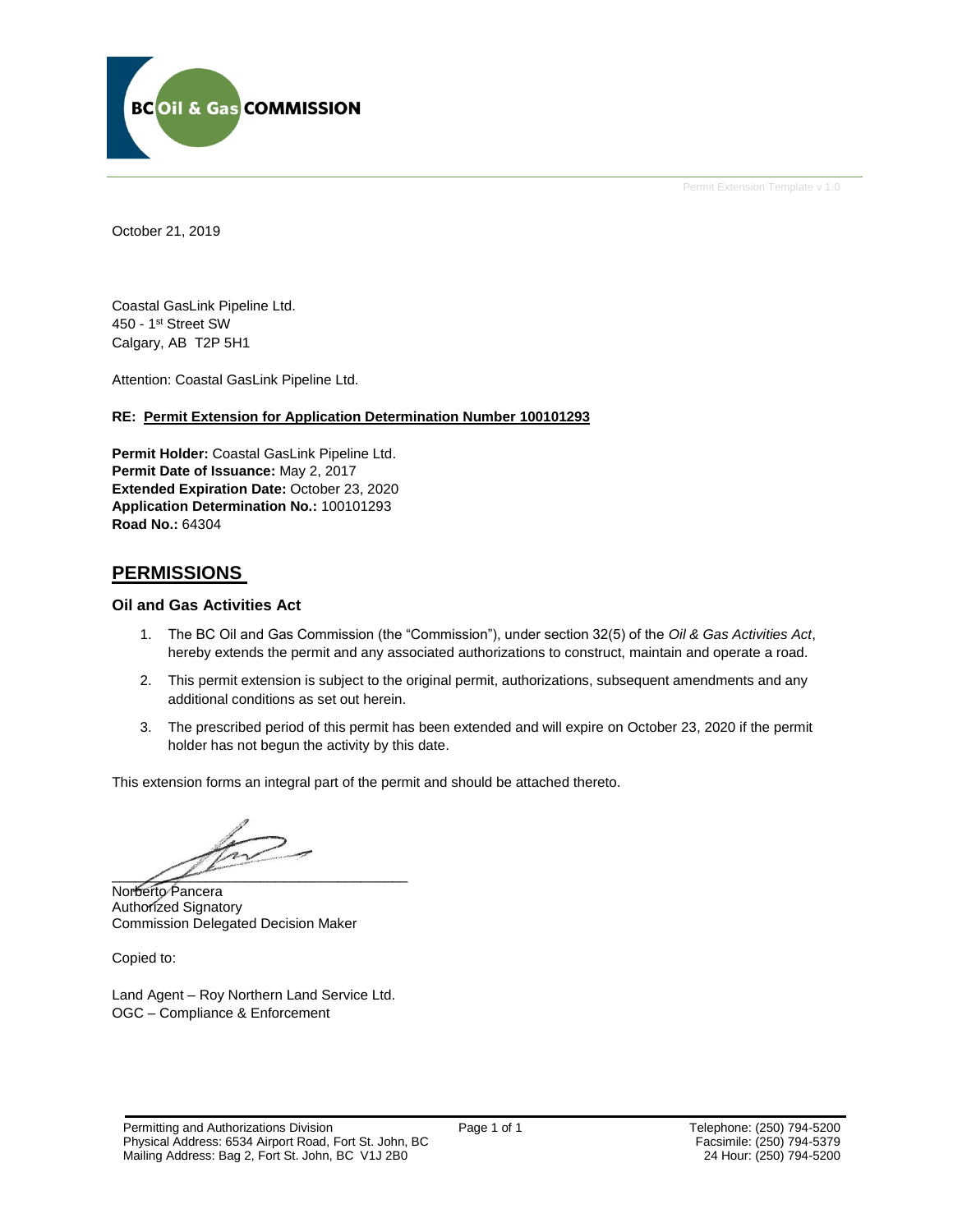

Permit Extension Template v 1.0

October 21, 2019

Coastal GasLink Pipeline Ltd. 450 - 1st Street SW Calgary, AB T2P 5H1

Attention: Coastal GasLink Pipeline Ltd.

### **RE: Permit Extension for Application Determination Number 100101293**

**Permit Holder:** Coastal GasLink Pipeline Ltd. **Permit Date of Issuance:** May 2, 2017 **Extended Expiration Date:** October 23, 2020 **Application Determination No.:** 100101293 **Road No.:** 64304

### **PERMISSIONS**

### **Oil and Gas Activities Act**

- 1. The BC Oil and Gas Commission (the "Commission"), under section 32(5) of the *Oil & Gas Activities Act*, hereby extends the permit and any associated authorizations to construct, maintain and operate a road.
- 2. This permit extension is subject to the original permit, authorizations, subsequent amendments and any additional conditions as set out herein.
- 3. The prescribed period of this permit has been extended and will expire on October 23, 2020 if the permit holder has not begun the activity by this date.

This extension forms an integral part of the permit and should be attached thereto.

 $\overbrace{\phantom{xxxxx}}$ 

Norberto Pancera Authorized Signatory Commission Delegated Decision Maker

Copied to:

Land Agent – Roy Northern Land Service Ltd. OGC – Compliance & Enforcement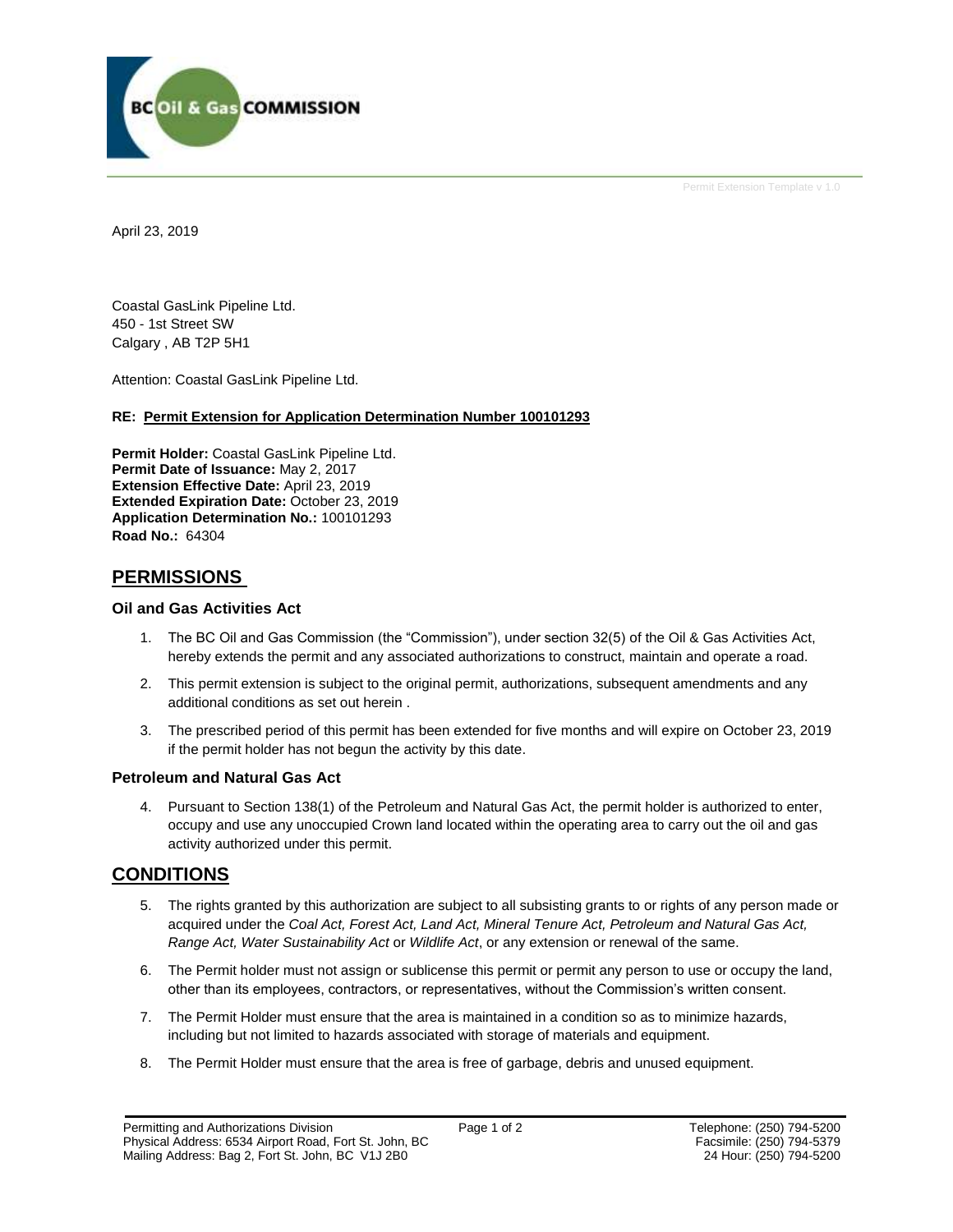

Permit Extension Template v 1.0

April 23, 2019

Coastal GasLink Pipeline Ltd. 450 - 1st Street SW Calgary , AB T2P 5H1

Attention: Coastal GasLink Pipeline Ltd.

### **RE: Permit Extension for Application Determination Number 100101293**

**Permit Holder:** Coastal GasLink Pipeline Ltd. **Permit Date of Issuance:** May 2, 2017 **Extension Effective Date:** April 23, 2019 **Extended Expiration Date:** October 23, 2019 **Application Determination No.:** 100101293 **Road No.:** 64304

## **PERMISSIONS**

### **Oil and Gas Activities Act**

- 1. The BC Oil and Gas Commission (the "Commission"), under section 32(5) of the Oil & Gas Activities Act, hereby extends the permit and any associated authorizations to construct, maintain and operate a road.
- 2. This permit extension is subject to the original permit, authorizations, subsequent amendments and any additional conditions as set out herein .
- 3. The prescribed period of this permit has been extended for five months and will expire on October 23, 2019 if the permit holder has not begun the activity by this date.

### **Petroleum and Natural Gas Act**

4. Pursuant to Section 138(1) of the Petroleum and Natural Gas Act, the permit holder is authorized to enter, occupy and use any unoccupied Crown land located within the operating area to carry out the oil and gas activity authorized under this permit.

## **CONDITIONS**

- 5. The rights granted by this authorization are subject to all subsisting grants to or rights of any person made or acquired under the *Coal Act, Forest Act, Land Act, Mineral Tenure Act, Petroleum and Natural Gas Act, Range Act, Water Sustainability Act* or *Wildlife Act*, or any extension or renewal of the same.
- 6. The Permit holder must not assign or sublicense this permit or permit any person to use or occupy the land, other than its employees, contractors, or representatives, without the Commission's written consent.
- 7. The Permit Holder must ensure that the area is maintained in a condition so as to minimize hazards, including but not limited to hazards associated with storage of materials and equipment.
- 8. The Permit Holder must ensure that the area is free of garbage, debris and unused equipment.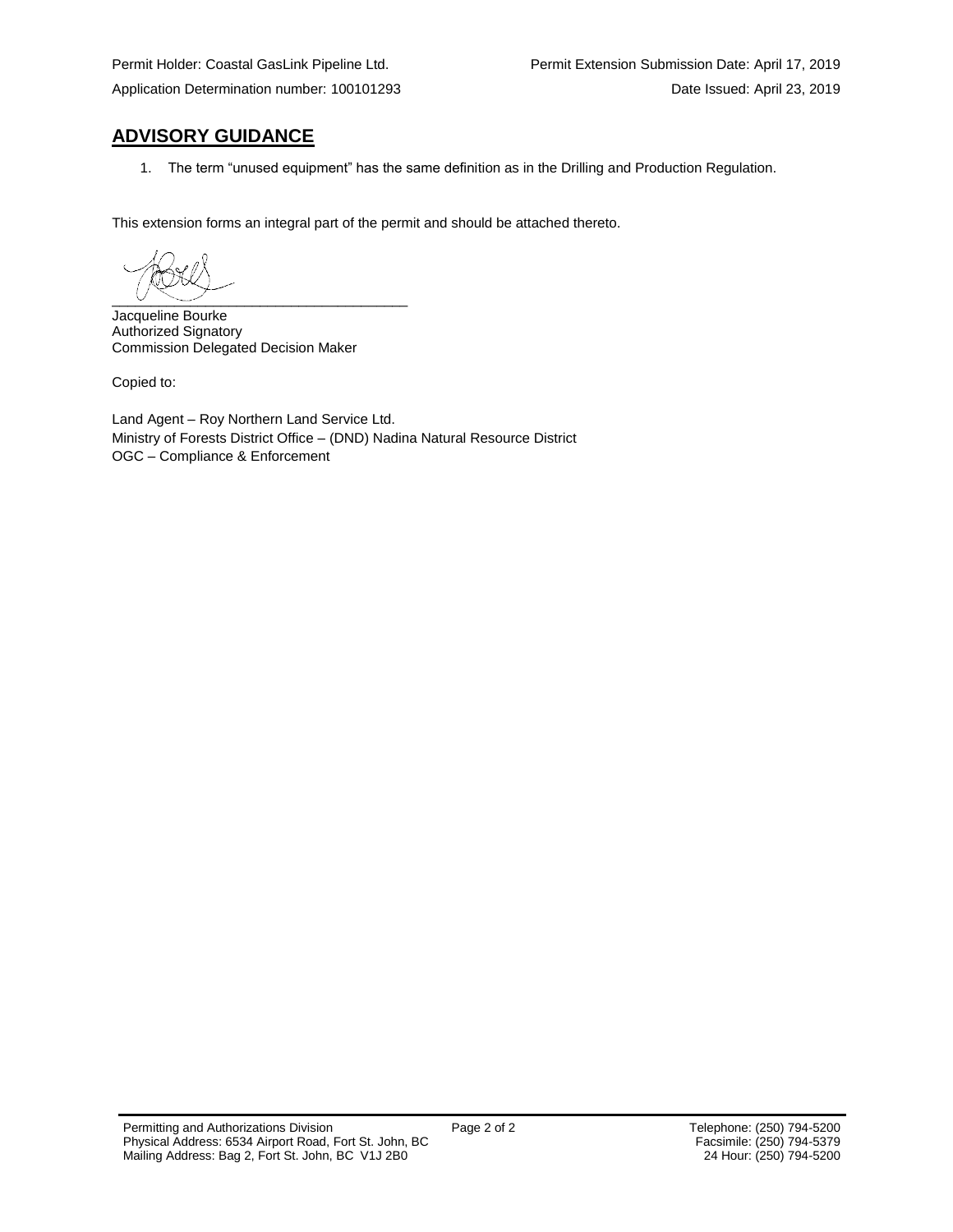# **ADVISORY GUIDANCE**

1. The term "unused equipment" has the same definition as in the Drilling and Production Regulation.

This extension forms an integral part of the permit and should be attached thereto.

 $\overline{\phantom{a}}$   $\overline{\phantom{a}}$   $\overline{\phantom{a}}$   $\overline{\phantom{a}}$   $\overline{\phantom{a}}$   $\overline{\phantom{a}}$   $\overline{\phantom{a}}$   $\overline{\phantom{a}}$   $\overline{\phantom{a}}$   $\overline{\phantom{a}}$   $\overline{\phantom{a}}$   $\overline{\phantom{a}}$   $\overline{\phantom{a}}$   $\overline{\phantom{a}}$   $\overline{\phantom{a}}$   $\overline{\phantom{a}}$   $\overline{\phantom{a}}$   $\overline{\phantom{a}}$   $\overline{\$ 

Jacqueline Bourke Authorized Signatory Commission Delegated Decision Maker

Copied to:

Land Agent – Roy Northern Land Service Ltd. Ministry of Forests District Office – (DND) Nadina Natural Resource District OGC – Compliance & Enforcement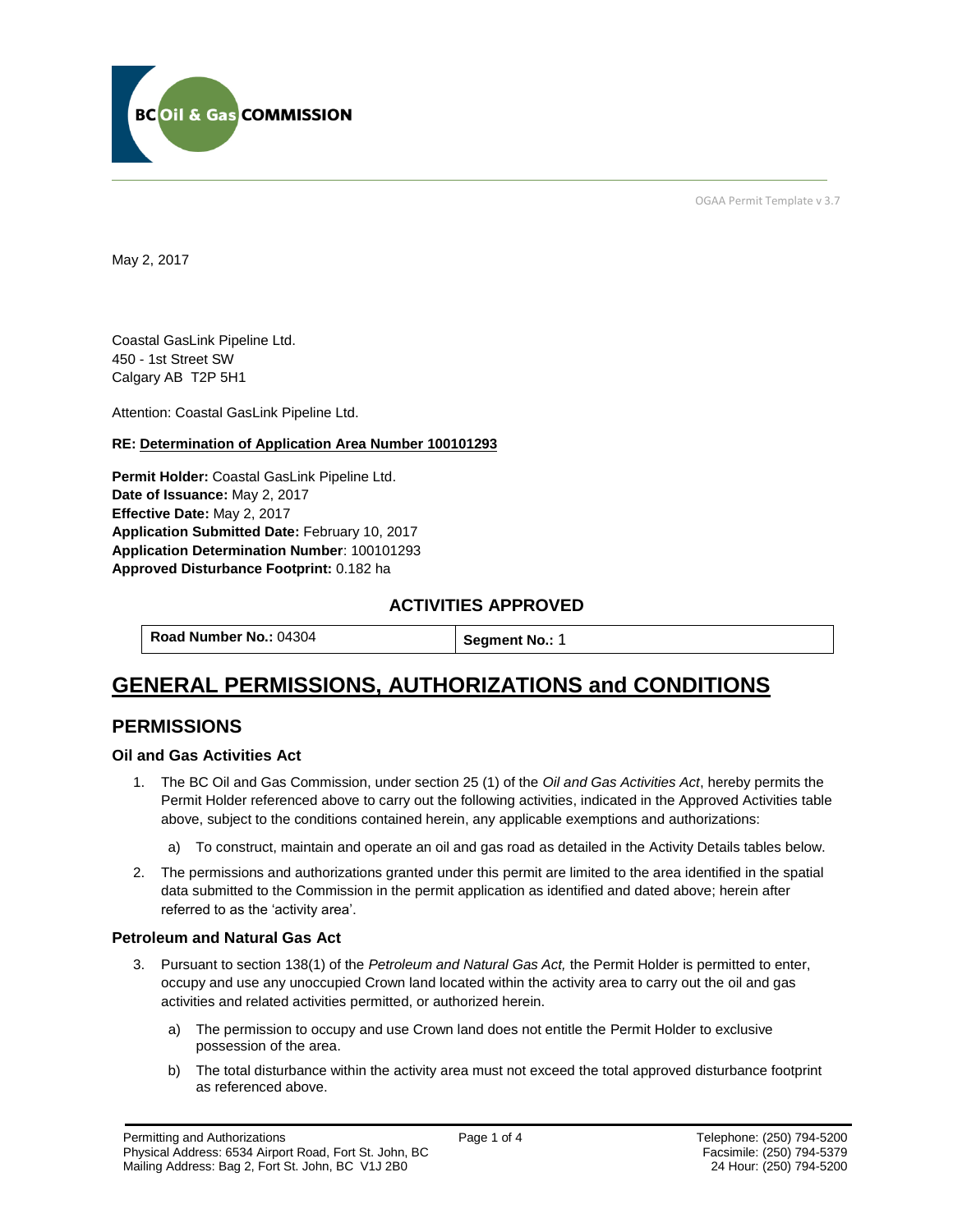

OGAA Permit Template v 3.7

May 2, 2017

Coastal GasLink Pipeline Ltd. 450 - 1st Street SW Calgary AB T2P 5H1

[Attention:](#page-3-0) Coastal GasLink Pipeline Ltd.

### **RE: Determination of Application Area Number 100101293**

**[Permit Holder:](#page-3-0)** Coastal GasLink Pipeline Ltd. **[Date of Issuance:](#page-3-0)** May 2, 2017 **[Effective Date:](#page-3-1)** May 2, 2017 **[Application Submitted Date:](#page-3-0)** February 10, 2017 **[Application Determination Number](#page-3-0)**: 100101293 **Approved Disturbance Footprint:** 0.182 ha

### **ACTIVITIES APPROVED**

**[Road Number No.:](#page-3-0) 04304 [Segment No.:](https://bi.bcogc.ca/Application%20Processing/Interactive%20Reports/(BIL-041)%20AMS%20Decision%20Summary.aspx) 1** 

# **GENERAL PERMISSIONS, AUTHORIZATIONS and CONDITIONS**

## **PERMISSIONS**

### **Oil and Gas Activities Act**

- <span id="page-3-0"></span>1. The BC Oil and Gas Commission, under section 25 (1) of the *Oil and Gas Activities Act*, hereby permits the Permit Holder referenced above to carry out the following activities, indicated in the Approved Activities table above, subject to the conditions contained herein, any applicable exemptions and authorizations:
	- a) To construct, maintain and operate an oil and gas road as detailed in the Activity Details tables below.
- <span id="page-3-1"></span>2. The permissions and authorizations granted under this permit are limited to the area identified in the spatial data submitted to the Commission in the permit application as identified and dated above; herein after referred to as the 'activity area'.

### **Petroleum and Natural Gas Act**

- 3. Pursuant to section 138(1) of the *Petroleum and Natural Gas Act,* the Permit Holder is permitted to enter, occupy and use any unoccupied Crown land located within the activity area to carry out the oil and gas activities and related activities permitted, or authorized herein.
	- a) The permission to occupy and use Crown land does not entitle the Permit Holder to exclusive possession of the area.
	- b) The total disturbance within the activity area must not exceed the total approved disturbance footprint as referenced above.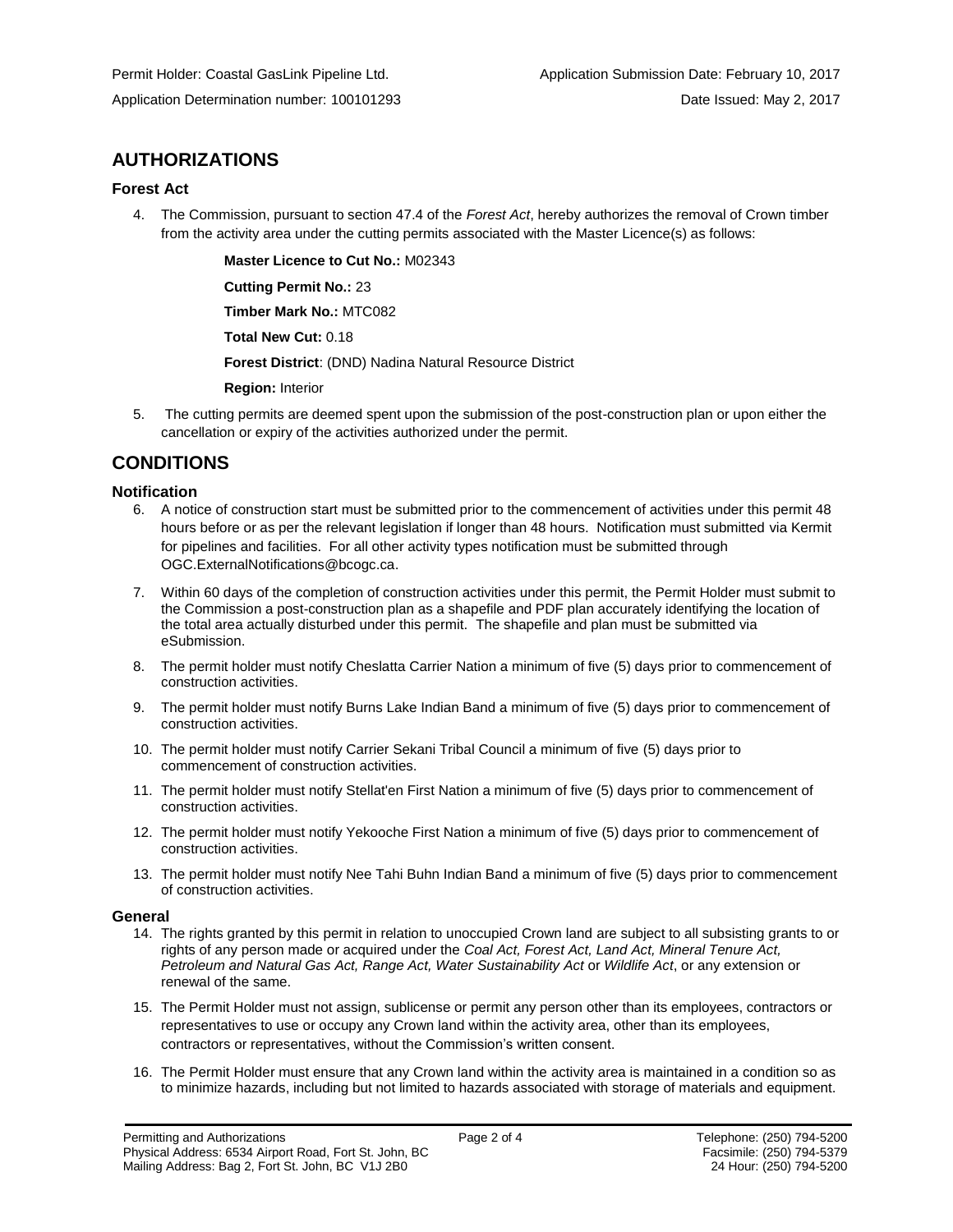# **AUTHORIZATIONS**

### **Forest Act**

4. The Commission, pursuant to section 47.4 of the *Forest Act*, hereby authorizes the removal of Crown timber from the activity area under the cutting permits associated with the Master Licence(s) as follows:

> **[Master Licence to Cut No.:](#page-3-0)** M02343 **[Cutting Permit No.:](#page-3-0)** 23

**[Timber Mark No.:](#page-3-0)** MTC082

**[Total New Cut:](#page-3-0)** 0.18

**[Forest District](https://ams-crd.bcogc.ca/crd/)**: (DND) Nadina Natural Resource District

**[Region:](#page-3-1)** Interior

5. The cutting permits are deemed spent upon the submission of the post-construction plan or upon either the cancellation or expiry of the activities authorized under the permit.

## **CONDITIONS**

### **Notification**

- 6. A notice of construction start must be submitted prior to the commencement of activities under this permit 48 hours before or as per the relevant legislation if longer than 48 hours. Notification must submitted via Kermit for pipelines and facilities. For all other activity types notification must be submitted through [OGC.ExternalNotifications@bcogc.ca.](mailto:OGC.ExternalNotifications@bcogc.ca)
- 7. Within 60 days of the completion of construction activities under this permit, the Permit Holder must submit to the Commission a post-construction plan as a shapefile and PDF plan accurately identifying the location of the total area actually disturbed under this permit. The shapefile and plan must be submitted via eSubmission.
- 8. The permit holder must notify Cheslatta Carrier Nation a minimum of five (5) days prior to commencement of construction activities.
- 9. The permit holder must notify Burns Lake Indian Band a minimum of five (5) days prior to commencement of construction activities.
- 10. The permit holder must notify Carrier Sekani Tribal Council a minimum of five (5) days prior to commencement of construction activities.
- 11. The permit holder must notify Stellat'en First Nation a minimum of five (5) days prior to commencement of construction activities.
- 12. The permit holder must notify Yekooche First Nation a minimum of five (5) days prior to commencement of construction activities.
- 13. The permit holder must notify Nee Tahi Buhn Indian Band a minimum of five (5) days prior to commencement of construction activities.

### **General**

- 14. The rights granted by this permit in relation to unoccupied Crown land are subject to all subsisting grants to or rights of any person made or acquired under the *Coal Act, Forest Act, Land Act, Mineral Tenure Act, Petroleum and Natural Gas Act, Range Act, Water Sustainability Act* or *Wildlife Act*, or any extension or renewal of the same.
- 15. The Permit Holder must not assign, sublicense or permit any person other than its employees, contractors or representatives to use or occupy any Crown land within the activity area, other than its employees, contractors or representatives, without the Commission's written consent.
- 16. The Permit Holder must ensure that any Crown land within the activity area is maintained in a condition so as to minimize hazards, including but not limited to hazards associated with storage of materials and equipment.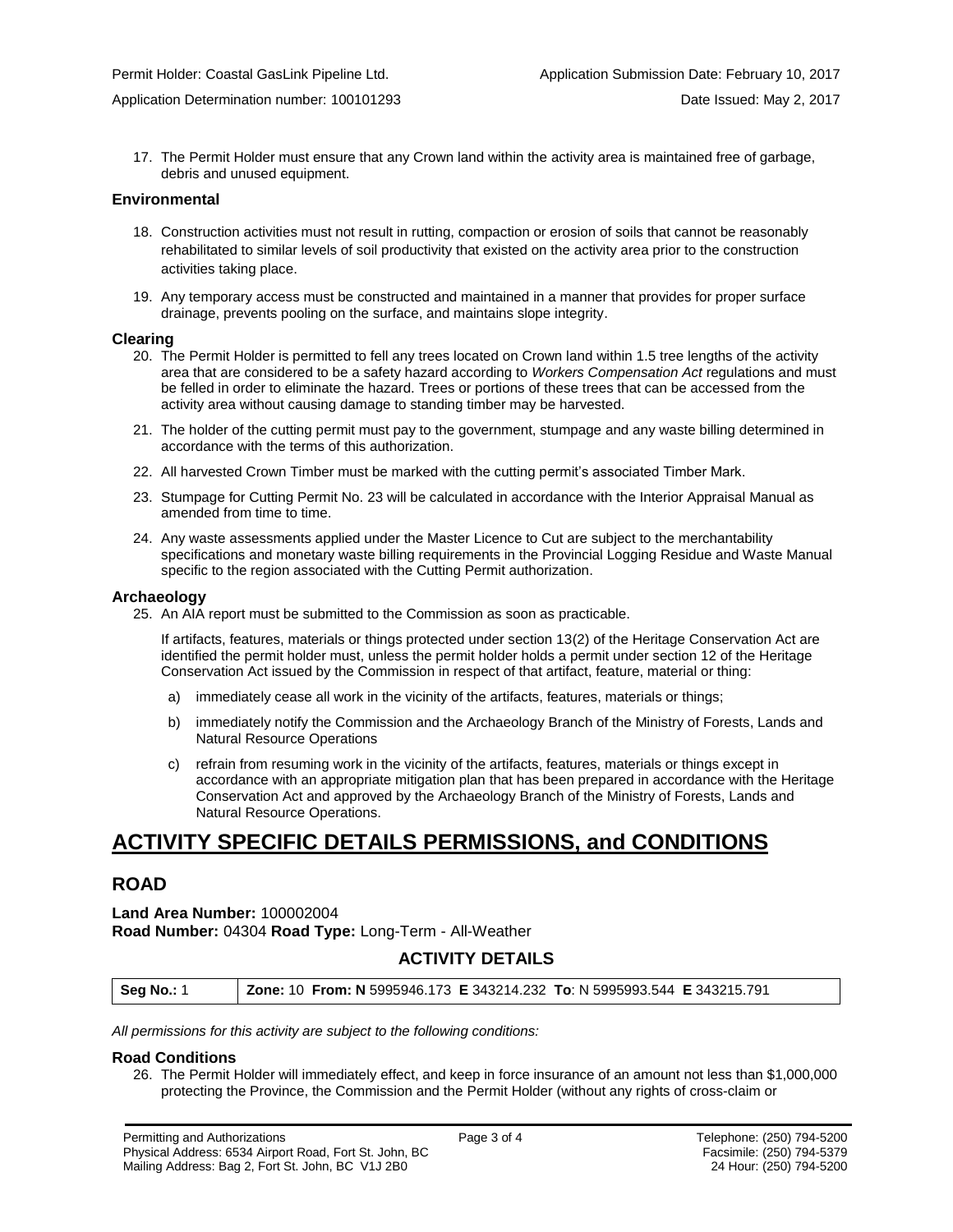17. The Permit Holder must ensure that any Crown land within the activity area is maintained free of garbage, debris and unused equipment.

#### **Environmental**

- 18. Construction activities must not result in rutting, compaction or erosion of soils that cannot be reasonably rehabilitated to similar levels of soil productivity that existed on the activity area prior to the construction activities taking place.
- 19. Any temporary access must be constructed and maintained in a manner that provides for proper surface drainage, prevents pooling on the surface, and maintains slope integrity.

#### **Clearing**

- 20. The Permit Holder is permitted to fell any trees located on Crown land within 1.5 tree lengths of the activity area that are considered to be a safety hazard according to *Workers Compensation Act* regulations and must be felled in order to eliminate the hazard. Trees or portions of these trees that can be accessed from the activity area without causing damage to standing timber may be harvested.
- 21. The holder of the cutting permit must pay to the government, stumpage and any waste billing determined in accordance with the terms of this authorization.
- 22. All harvested Crown Timber must be marked with the cutting permit's associated Timber Mark.
- 23. Stumpage for Cutting Permit No. 23 will be calculated in accordance with the Interior Appraisal Manual as amended from time to time.
- 24. Any waste assessments applied under the Master Licence to Cut are subject to the merchantability specifications and monetary waste billing requirements in the Provincial Logging Residue and Waste Manual specific to the region associated with the Cutting Permit authorization.

### **Archaeology**

25. An AIA report must be submitted to the Commission as soon as practicable.

If artifacts, features, materials or things protected under section 13(2) of the Heritage Conservation Act are identified the permit holder must, unless the permit holder holds a permit under section 12 of the Heritage Conservation Act issued by the Commission in respect of that artifact, feature, material or thing:

- a) immediately cease all work in the vicinity of the artifacts, features, materials or things;
- b) immediately notify the Commission and the Archaeology Branch of the Ministry of Forests, Lands and Natural Resource Operations
- c) refrain from resuming work in the vicinity of the artifacts, features, materials or things except in accordance with an appropriate mitigation plan that has been prepared in accordance with the Heritage Conservation Act and approved by the Archaeology Branch of the Ministry of Forests, Lands and Natural Resource Operations.

# **ACTIVITY SPECIFIC DETAILS PERMISSIONS, and CONDITIONS**

## **ROAD**

**Land Area Number:** 100002004 **Road Number:** 04304 **Road Type:** Long-Term - All-Weather

## **ACTIVITY DETAILS**

| <b>Seg No.: 1</b> | <b>Zone: 10 From: N</b> 5995946.173 E 343214.232 To: N 5995993.544 E 343215.791 |  |
|-------------------|---------------------------------------------------------------------------------|--|
|                   |                                                                                 |  |

*All permissions for this activity are subject to the following conditions:*

#### **Road Conditions**

26. The Permit Holder will immediately effect, and keep in force insurance of an amount not less than \$1,000,000 protecting the Province, the Commission and the Permit Holder (without any rights of cross-claim or